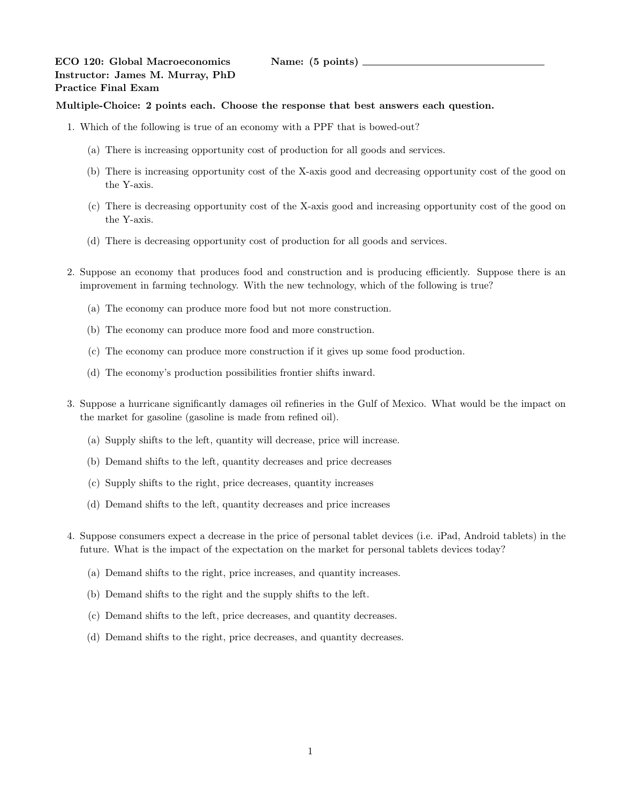## ECO 120: Global Macroeconomics Name: (5 points) Instructor: James M. Murray, PhD Practice Final Exam

## Multiple-Choice: 2 points each. Choose the response that best answers each question.

- 1. Which of the following is true of an economy with a PPF that is bowed-out?
	- (a) There is increasing opportunity cost of production for all goods and services.
	- (b) There is increasing opportunity cost of the X-axis good and decreasing opportunity cost of the good on the Y-axis.
	- (c) There is decreasing opportunity cost of the X-axis good and increasing opportunity cost of the good on the Y-axis.
	- (d) There is decreasing opportunity cost of production for all goods and services.
- 2. Suppose an economy that produces food and construction and is producing efficiently. Suppose there is an improvement in farming technology. With the new technology, which of the following is true?
	- (a) The economy can produce more food but not more construction.
	- (b) The economy can produce more food and more construction.
	- (c) The economy can produce more construction if it gives up some food production.
	- (d) The economy's production possibilities frontier shifts inward.
- 3. Suppose a hurricane significantly damages oil refineries in the Gulf of Mexico. What would be the impact on the market for gasoline (gasoline is made from refined oil).
	- (a) Supply shifts to the left, quantity will decrease, price will increase.
	- (b) Demand shifts to the left, quantity decreases and price decreases
	- (c) Supply shifts to the right, price decreases, quantity increases
	- (d) Demand shifts to the left, quantity decreases and price increases
- 4. Suppose consumers expect a decrease in the price of personal tablet devices (i.e. iPad, Android tablets) in the future. What is the impact of the expectation on the market for personal tablets devices today?
	- (a) Demand shifts to the right, price increases, and quantity increases.
	- (b) Demand shifts to the right and the supply shifts to the left.
	- (c) Demand shifts to the left, price decreases, and quantity decreases.
	- (d) Demand shifts to the right, price decreases, and quantity decreases.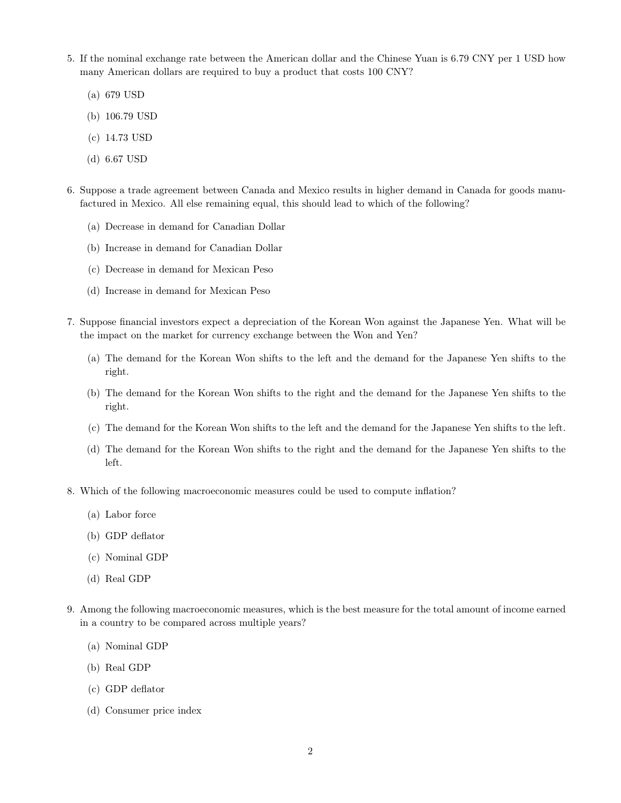- 5. If the nominal exchange rate between the American dollar and the Chinese Yuan is 6.79 CNY per 1 USD how many American dollars are required to buy a product that costs 100 CNY?
	- (a) 679 USD
	- (b) 106.79 USD
	- (c) 14.73 USD
	- (d) 6.67 USD
- 6. Suppose a trade agreement between Canada and Mexico results in higher demand in Canada for goods manufactured in Mexico. All else remaining equal, this should lead to which of the following?
	- (a) Decrease in demand for Canadian Dollar
	- (b) Increase in demand for Canadian Dollar
	- (c) Decrease in demand for Mexican Peso
	- (d) Increase in demand for Mexican Peso
- 7. Suppose financial investors expect a depreciation of the Korean Won against the Japanese Yen. What will be the impact on the market for currency exchange between the Won and Yen?
	- (a) The demand for the Korean Won shifts to the left and the demand for the Japanese Yen shifts to the right.
	- (b) The demand for the Korean Won shifts to the right and the demand for the Japanese Yen shifts to the right.
	- (c) The demand for the Korean Won shifts to the left and the demand for the Japanese Yen shifts to the left.
	- (d) The demand for the Korean Won shifts to the right and the demand for the Japanese Yen shifts to the left.
- 8. Which of the following macroeconomic measures could be used to compute inflation?
	- (a) Labor force
	- (b) GDP deflator
	- (c) Nominal GDP
	- (d) Real GDP
- 9. Among the following macroeconomic measures, which is the best measure for the total amount of income earned in a country to be compared across multiple years?
	- (a) Nominal GDP
	- (b) Real GDP
	- (c) GDP deflator
	- (d) Consumer price index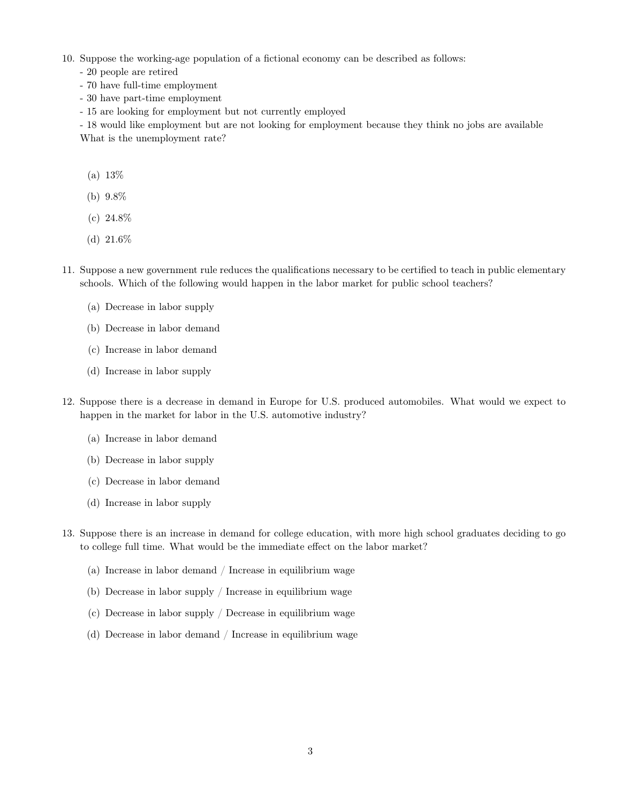- 10. Suppose the working-age population of a fictional economy can be described as follows:
	- 20 people are retired
	- 70 have full-time employment
	- 30 have part-time employment
	- 15 are looking for employment but not currently employed

- 18 would like employment but are not looking for employment because they think no jobs are available What is the unemployment rate?

- (a) 13%
- (b) 9.8%
- (c) 24.8%
- (d) 21.6%
- 11. Suppose a new government rule reduces the qualifications necessary to be certified to teach in public elementary schools. Which of the following would happen in the labor market for public school teachers?
	- (a) Decrease in labor supply
	- (b) Decrease in labor demand
	- (c) Increase in labor demand
	- (d) Increase in labor supply
- 12. Suppose there is a decrease in demand in Europe for U.S. produced automobiles. What would we expect to happen in the market for labor in the U.S. automotive industry?
	- (a) Increase in labor demand
	- (b) Decrease in labor supply
	- (c) Decrease in labor demand
	- (d) Increase in labor supply
- 13. Suppose there is an increase in demand for college education, with more high school graduates deciding to go to college full time. What would be the immediate effect on the labor market?
	- (a) Increase in labor demand / Increase in equilibrium wage
	- (b) Decrease in labor supply / Increase in equilibrium wage
	- (c) Decrease in labor supply / Decrease in equilibrium wage
	- (d) Decrease in labor demand / Increase in equilibrium wage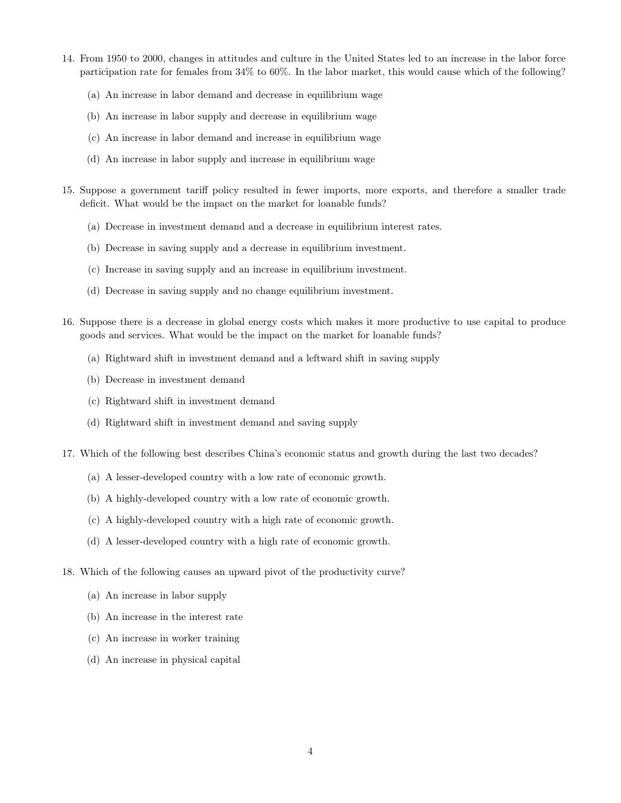- 14. From 1950 to 2000, changes in attitudes and culture in the United States led to an increase in the labor force participation rate for females from 34% to 60%. In the labor market, this would cause which of the following?
	- (a) An increase in labor demand and decrease in equilibrium wage
	- (b) An increase in labor supply and decrease in equilibrium wage
	- (c) An increase in labor demand and increase in equilibrium wage
	- (d) An increase in labor supply and increase in equilibrium wage
- 15. Suppose a government tariff policy resulted in fewer imports, more exports, and therefore a smaller trade deficit. What would be the impact on the market for loanable funds?
	- (a) Decrease in investment demand and a decrease in equilibrium interest rates.
	- (b) Decrease in saving supply and a decrease in equilibrium investment.
	- (c) Increase in saving supply and an increase in equilibrium investment.
	- (d) Decrease in saving supply and no change equilibrium investment.
- 16. Suppose there is a decrease in global energy costs which makes it more productive to use capital to produce goods and services. What would be the impact on the market for loanable funds?
	- (a) Rightward shift in investment demand and a leftward shift in saving supply
	- (b) Decrease in investment demand
	- (c) Rightward shift in investment demand
	- (d) Rightward shift in investment demand and saving supply
- 17. Which of the following best describes China's economic status and growth during the last two decades?
	- (a) A lesser-developed country with a low rate of economic growth.
	- (b) A highly-developed country with a low rate of economic growth.
	- (c) A highly-developed country with a high rate of economic growth.
	- (d) A lesser-developed country with a high rate of economic growth.
- 18. Which of the following causes an upward pivot of the productivity curve?
	- (a) An increase in labor supply
	- (b) An increase in the interest rate
	- (c) An increase in worker training
	- (d) An increase in physical capital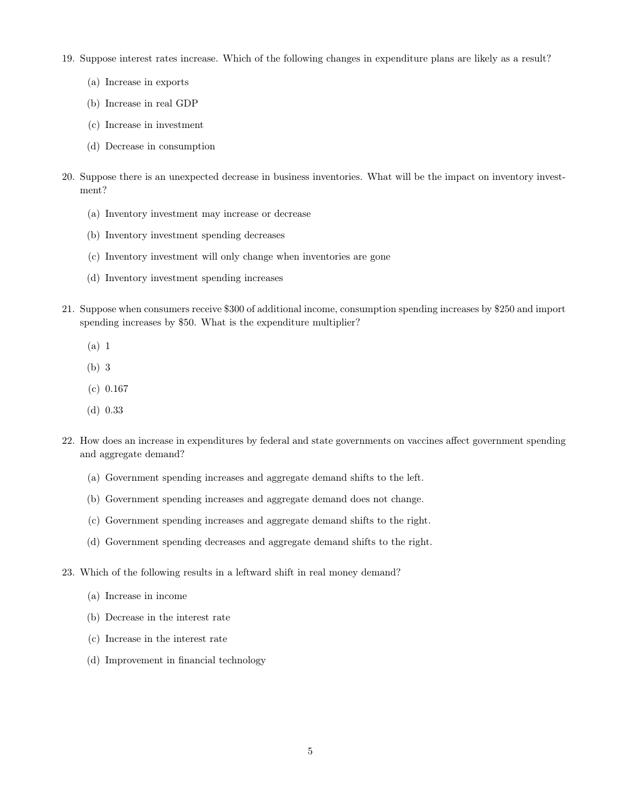- 19. Suppose interest rates increase. Which of the following changes in expenditure plans are likely as a result?
	- (a) Increase in exports
	- (b) Increase in real GDP
	- (c) Increase in investment
	- (d) Decrease in consumption
- 20. Suppose there is an unexpected decrease in business inventories. What will be the impact on inventory investment?
	- (a) Inventory investment may increase or decrease
	- (b) Inventory investment spending decreases
	- (c) Inventory investment will only change when inventories are gone
	- (d) Inventory investment spending increases
- 21. Suppose when consumers receive \$300 of additional income, consumption spending increases by \$250 and import spending increases by \$50. What is the expenditure multiplier?
	- (a) 1
	- (b) 3
	- (c) 0.167
	- (d) 0.33
- 22. How does an increase in expenditures by federal and state governments on vaccines affect government spending and aggregate demand?
	- (a) Government spending increases and aggregate demand shifts to the left.
	- (b) Government spending increases and aggregate demand does not change.
	- (c) Government spending increases and aggregate demand shifts to the right.
	- (d) Government spending decreases and aggregate demand shifts to the right.
- 23. Which of the following results in a leftward shift in real money demand?
	- (a) Increase in income
	- (b) Decrease in the interest rate
	- (c) Increase in the interest rate
	- (d) Improvement in financial technology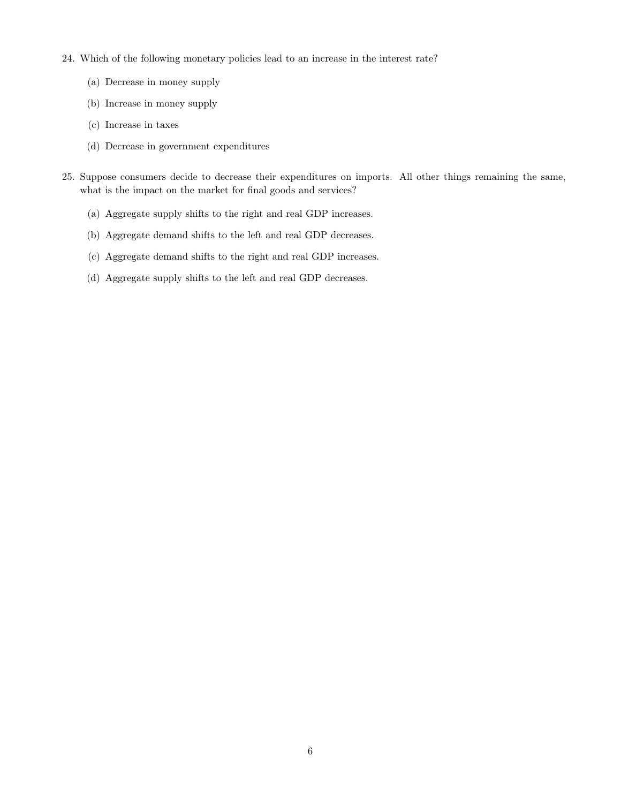- 24. Which of the following monetary policies lead to an increase in the interest rate?
	- (a) Decrease in money supply
	- (b) Increase in money supply
	- (c) Increase in taxes
	- (d) Decrease in government expenditures
- 25. Suppose consumers decide to decrease their expenditures on imports. All other things remaining the same, what is the impact on the market for final goods and services?
	- (a) Aggregate supply shifts to the right and real GDP increases.
	- (b) Aggregate demand shifts to the left and real GDP decreases.
	- (c) Aggregate demand shifts to the right and real GDP increases.
	- (d) Aggregate supply shifts to the left and real GDP decreases.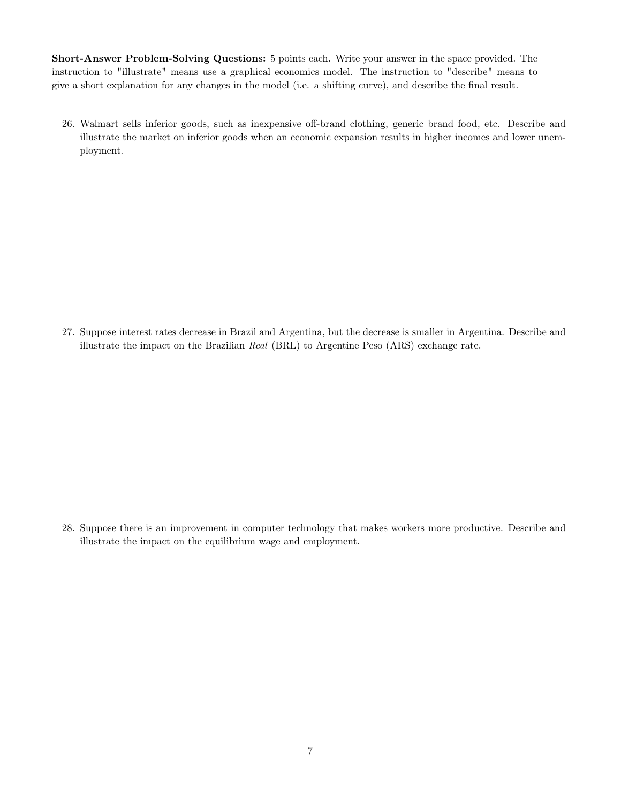Short-Answer Problem-Solving Questions: 5 points each. Write your answer in the space provided. The instruction to "illustrate" means use a graphical economics model. The instruction to "describe" means to give a short explanation for any changes in the model (i.e. a shifting curve), and describe the final result.

26. Walmart sells inferior goods, such as inexpensive off-brand clothing, generic brand food, etc. Describe and illustrate the market on inferior goods when an economic expansion results in higher incomes and lower unemployment.

27. Suppose interest rates decrease in Brazil and Argentina, but the decrease is smaller in Argentina. Describe and illustrate the impact on the Brazilian Real (BRL) to Argentine Peso (ARS) exchange rate.

28. Suppose there is an improvement in computer technology that makes workers more productive. Describe and illustrate the impact on the equilibrium wage and employment.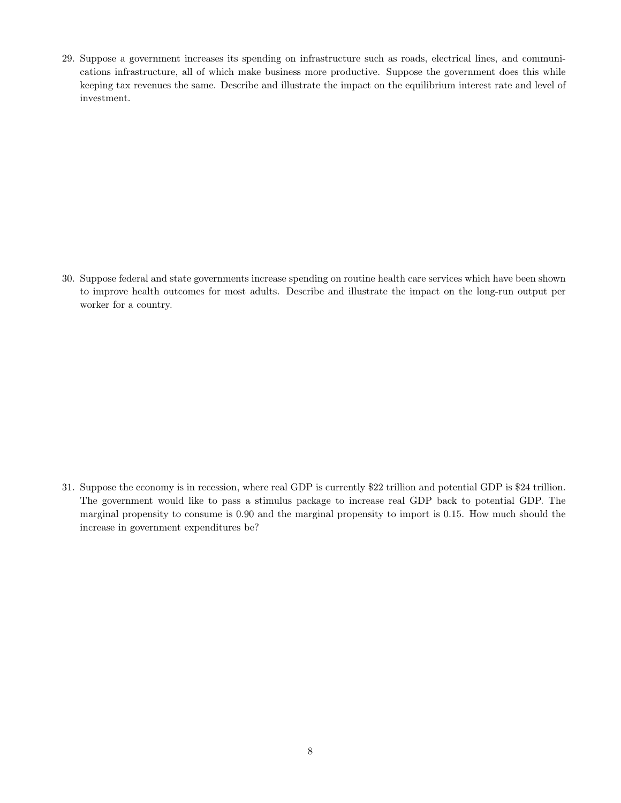29. Suppose a government increases its spending on infrastructure such as roads, electrical lines, and communications infrastructure, all of which make business more productive. Suppose the government does this while keeping tax revenues the same. Describe and illustrate the impact on the equilibrium interest rate and level of investment.

30. Suppose federal and state governments increase spending on routine health care services which have been shown to improve health outcomes for most adults. Describe and illustrate the impact on the long-run output per worker for a country.

31. Suppose the economy is in recession, where real GDP is currently \$22 trillion and potential GDP is \$24 trillion. The government would like to pass a stimulus package to increase real GDP back to potential GDP. The marginal propensity to consume is 0.90 and the marginal propensity to import is 0.15. How much should the increase in government expenditures be?